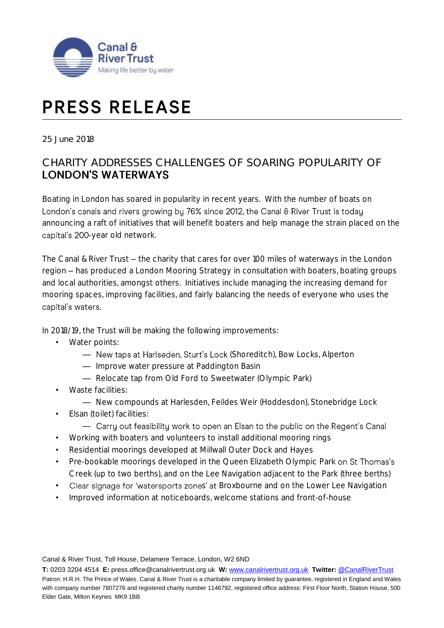

# **PRESS RELEASE**

25 June 2018

# CHARITY ADDRESSES CHALLENGES OF SOARING POPULARITY OF **LONDON'S WATERWAYS**

Boating in London has soared in popularity in recent years. With the number of boats on London's canals and rivers growing by 76% since 2012, the Canal & River Trust is today announcing a raft of initiatives that will benefit boaters and help manage the strain placed on the capital's 200-year old network.

The Canal & River Trust  $-$  the charity that cares for over 100 miles of waterways in the London region – has produced a London Mooring Strategy in consultation with boaters, boating groups and local authorities, amongst others. Initiatives include managing the increasing demand for mooring spaces, improving facilities, and fairly balancing the needs of everyone who uses the capital's waters.

In 2018/19, the Trust will be making the following improvements:

- Water points:
	- New taps at Harlseden, Sturt's Lock (Shoreditch), Bow Locks, Alperton
	- Improve water pressure at Paddington Basin
	- Relocate tap from Old Ford to Sweetwater (Olympic Park)
- Waste facilities:
	- New compounds at Harlesden, Feildes Weir (Hoddesdon), Stonebridge Lock
- Elsan (toilet) facilities:
	- Carry out feasibility work to open an Elsan to the public on the Regent's Canal
- Working with boaters and volunteers to install additional mooring rings
- Residential moorings developed at Millwall Outer Dock and Hayes
- Pre-bookable moorings developed in the Queen Elizabeth Olympic Park on St Thomas's Creek (up to two berths), and on the Lee Navigation adjacent to the Park (three berths)
- Clear signage for 'watersports zones' at Broxbourne and on the Lower Lee Navigation
- Improved information at noticeboards, welcome stations and front-of-house

Canal & River Trust, Toll House, Delamere Terrace, London, W2 6ND

**T:** 0203 3204 4514 **E:** press.office@canalrivertrust.org.uk **W:** [www.canalrivertrust.org.uk](http://www.canalrivertrust.org.uk/) **Twitter:** [@CanalRiverTrust](https://twitter.com/CanalRiverTrust) Patron: H.R.H. The Prince of Wales. Canal & River Trust is a charitable company limited by guarantee, registered in England and Wales with company number 7807276 and registered charity number 1146792, registered office address: First Floor North, Station House, 500 Elder Gate, Milton Keynes MK9 1BB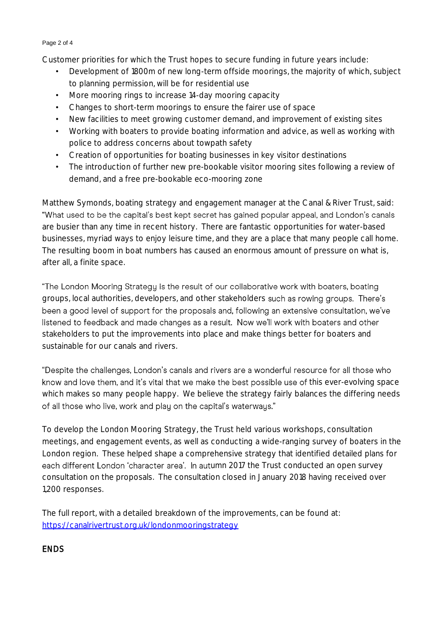### Page 2 of 4

Customer priorities for which the Trust hopes to secure funding in future years include:

- Development of 1800m of new long-term offside moorings, the majority of which, subject to planning permission, will be for residential use
- More mooring rings to increase 14-day mooring capacity
- Changes to short-term moorings to ensure the fairer use of space
- New facilities to meet growing customer demand, and improvement of existing sites
- Working with boaters to provide boating information and advice, as well as working with police to address concerns about towpath safety
- Creation of opportunities for boating businesses in key visitor destinations
- The introduction of further new pre-bookable visitor mooring sites following a review of demand, and a free pre-bookable eco-mooring zone

Matthew Symonds, boating strategy and engagement manager at the Canal & River Trust, said: "What used to be the capital's best kept secret has gained popular appeal, and London's canals are busier than any time in recent history. There are fantastic opportunities for water-based businesses, myriad ways to enjoy leisure time, and they are a place that many people call home. The resulting boom in boat numbers has caused an enormous amount of pressure on what is, after all, a finite space.

"The London Mooring Strategy is the result of our collaborative work with boaters, boating groups, local authorities, developers, and other stakeholders such as rowing groups. There's been a good level of support for the proposals and, following an extensive consultation, we've listened to feedback and made changes as a result. Now we'll work with boaters and other stakeholders to put the improvements into place and make things better for boaters and sustainable for our canals and rivers.

"Despite the challenges, London's canals and rivers are a wonderful resource for all those who know and love them, and it's vital that we make the best possible use of this ever-evolving space which makes so many people happy. We believe the strategy fairly balances the differing needs of all those who live, work and play on the capital's waterways."

To develop the London Mooring Strategy, the Trust held various workshops, consultation meetings, and engagement events, as well as conducting a wide-ranging survey of boaters in the London region. These helped shape a comprehensive strategy that identified detailed plans for each different London 'character area'. In autumn 2017 the Trust conducted an open survey consultation on the proposals. The consultation closed in January 2018 having received over 1,200 responses.

The full report, with a detailed breakdown of the improvements, can be found at: <https://canalrivertrust.org.uk/londonmooringstrategy>

## **FNDS**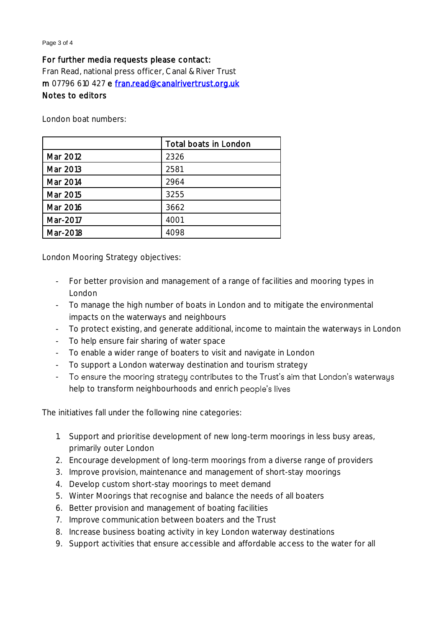#### Page 3 of 4

## For further media requests please contact:

Fran Read, national press officer, Canal & River Trust m 07796 610 427 e [fran.read@canalrivertrust.org.uk](mailto:fran.read@canalrivertrust.org.uk)  Notes to editors

London boat numbers:

|          | Total boats in London |
|----------|-----------------------|
| Mar 2012 | 2326                  |
| Mar 2013 | 2581                  |
| Mar 2014 | 2964                  |
| Mar 2015 | 3255                  |
| Mar 2016 | 3662                  |
| Mar-2017 | 4001                  |
| Mar-2018 | 4098                  |

London Mooring Strategy objectives:

- For better provision and management of a range of facilities and mooring types in London
- To manage the high number of boats in London and to mitigate the environmental impacts on the waterways and neighbours
- To protect existing, and generate additional, income to maintain the waterways in London
- To help ensure fair sharing of water space
- To enable a wider range of boaters to visit and navigate in London
- To support a London waterway destination and tourism strategy
- To ensure the mooring strategy contributes to the Trust's aim that London's waterways help to transform neighbourhoods and enrich people's lives

The initiatives fall under the following nine categories:

- 1. Support and prioritise development of new long-term moorings in less busy areas, primarily outer London
- 2. Encourage development of long-term moorings from a diverse range of providers
- 3. Improve provision, maintenance and management of short-stay moorings
- 4. Develop custom short-stay moorings to meet demand
- 5. Winter Moorings that recognise and balance the needs of all boaters
- 6. Better provision and management of boating facilities
- 7. Improve communication between boaters and the Trust
- 8. Increase business boating activity in key London waterway destinations
- 9. Support activities that ensure accessible and affordable access to the water for all